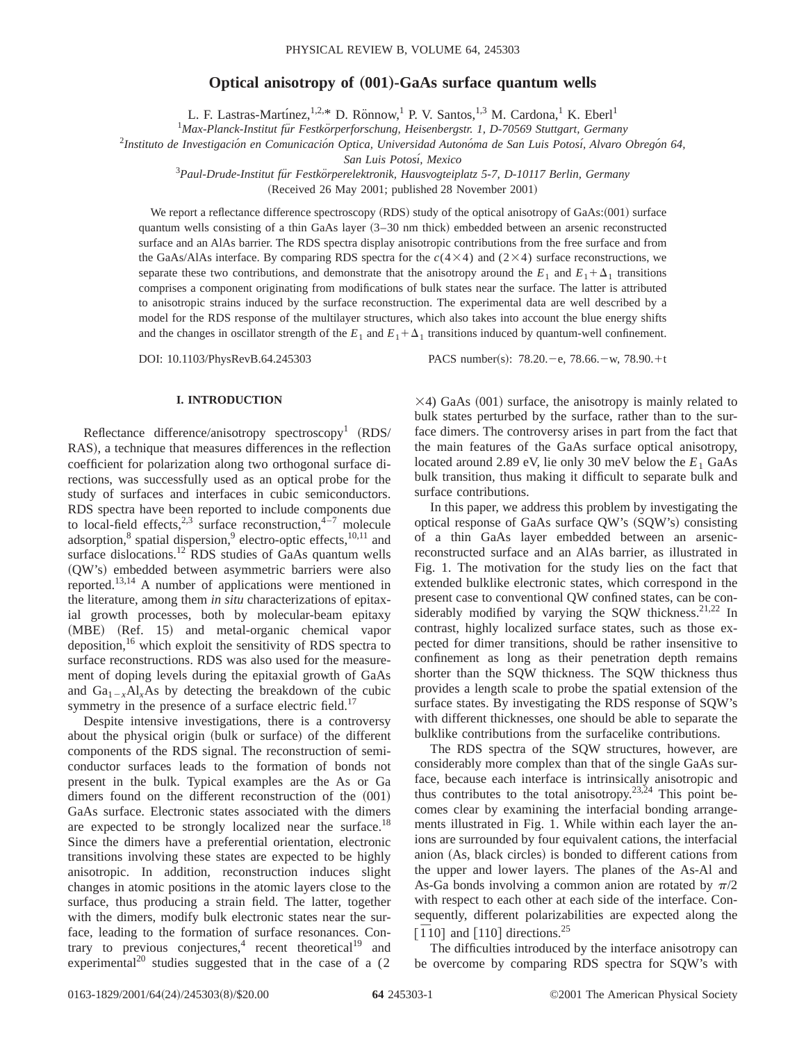## **Optical anisotropy of (001)-GaAs surface quantum wells**

L. F. Lastras-Martínez,<sup>1,2,\*</sup> D. Rönnow,<sup>1</sup> P. V. Santos,<sup>1,3</sup> M. Cardona,<sup>1</sup> K. Eberl<sup>1</sup>

<sup>1</sup>Max-Planck-Institut für Festkörperforschung, Heisenbergstr. 1, D-70569 Stuttgart, Germany

<sup>2</sup>Instituto de Investigación en Comunicación Optica, Universidad Autonóma de San Luis Potosí, Alvaro Obregón 64,

*San Luis Potosı´, Mexico*

<sup>3</sup> Paul-Drude-Institut für Festkörperelektronik, Hausvogteiplatz 5-7, D-10117 Berlin, Germany

(Received 26 May 2001; published 28 November 2001)

We report a reflectance difference spectroscopy  $(RDS)$  study of the optical anisotropy of  $GaAs:(001)$  surface quantum wells consisting of a thin GaAs layer  $(3-30 \text{ nm}$  thick) embedded between an arsenic reconstructed surface and an AlAs barrier. The RDS spectra display anisotropic contributions from the free surface and from the GaAs/AlAs interface. By comparing RDS spectra for the  $c(4\times4)$  and (2 $\times4$ ) surface reconstructions, we separate these two contributions, and demonstrate that the anisotropy around the  $E_1$  and  $E_1 + \Delta_1$  transitions comprises a component originating from modifications of bulk states near the surface. The latter is attributed to anisotropic strains induced by the surface reconstruction. The experimental data are well described by a model for the RDS response of the multilayer structures, which also takes into account the blue energy shifts and the changes in oscillator strength of the  $E_1$  and  $E_1 + \Delta_1$  transitions induced by quantum-well confinement.

DOI: 10.1103/PhysRevB.64.245303 PACS number(s): 78.20.-e, 78.66.-w, 78.90.+t

## **I. INTRODUCTION**

Reflectance difference/anisotropy spectroscopy<sup>1</sup>  $(RDS/$ RAS), a technique that measures differences in the reflection coefficient for polarization along two orthogonal surface directions, was successfully used as an optical probe for the study of surfaces and interfaces in cubic semiconductors. RDS spectra have been reported to include components due to local-field effects,<sup>2,3</sup> surface reconstruction,<sup>4-7</sup> molecule adsorption, $\delta$  spatial dispersion, $\delta$  electro-optic effects,  $10,11$  and surface dislocations.<sup>12</sup> RDS studies of GaAs quantum wells ~QW's! embedded between asymmetric barriers were also reported.13,14 A number of applications were mentioned in the literature, among them *in situ* characterizations of epitaxial growth processes, both by molecular-beam epitaxy (MBE) (Ref. 15) and metal-organic chemical vapor deposition, $16$  which exploit the sensitivity of RDS spectra to surface reconstructions. RDS was also used for the measurement of doping levels during the epitaxial growth of GaAs and  $Ga_{1-x}Al_xAs$  by detecting the breakdown of the cubic symmetry in the presence of a surface electric field.<sup>17</sup>

Despite intensive investigations, there is a controversy about the physical origin (bulk or surface) of the different components of the RDS signal. The reconstruction of semiconductor surfaces leads to the formation of bonds not present in the bulk. Typical examples are the As or Ga dimers found on the different reconstruction of the  $(001)$ GaAs surface. Electronic states associated with the dimers are expected to be strongly localized near the surface.<sup>18</sup> Since the dimers have a preferential orientation, electronic transitions involving these states are expected to be highly anisotropic. In addition, reconstruction induces slight changes in atomic positions in the atomic layers close to the surface, thus producing a strain field. The latter, together with the dimers, modify bulk electronic states near the surface, leading to the formation of surface resonances. Contrary to previous conjectures,<sup>4</sup> recent theoretical<sup>19</sup> and experimental<sup>20</sup> studies suggested that in the case of a  $(2)$ 

 $\times$ 4) GaAs (001) surface, the anisotropy is mainly related to bulk states perturbed by the surface, rather than to the surface dimers. The controversy arises in part from the fact that the main features of the GaAs surface optical anisotropy, located around 2.89 eV, lie only 30 meV below the  $E_1$  GaAs bulk transition, thus making it difficult to separate bulk and surface contributions.

In this paper, we address this problem by investigating the optical response of GaAs surface  $QW$ 's  $(SQW)$ 's consisting of a thin GaAs layer embedded between an arsenicreconstructed surface and an AlAs barrier, as illustrated in Fig. 1. The motivation for the study lies on the fact that extended bulklike electronic states, which correspond in the present case to conventional QW confined states, can be considerably modified by varying the SQW thickness.<sup>21,22</sup> In contrast, highly localized surface states, such as those expected for dimer transitions, should be rather insensitive to confinement as long as their penetration depth remains shorter than the SQW thickness. The SQW thickness thus provides a length scale to probe the spatial extension of the surface states. By investigating the RDS response of SQW's with different thicknesses, one should be able to separate the bulklike contributions from the surfacelike contributions.

The RDS spectra of the SQW structures, however, are considerably more complex than that of the single GaAs surface, because each interface is intrinsically anisotropic and thus contributes to the total anisotropy.<sup>23,24</sup> This point becomes clear by examining the interfacial bonding arrangements illustrated in Fig. 1. While within each layer the anions are surrounded by four equivalent cations, the interfacial anion (As, black circles) is bonded to different cations from the upper and lower layers. The planes of the As-Al and As-Ga bonds involving a common anion are rotated by  $\pi/2$ with respect to each other at each side of the interface. Consequently, different polarizabilities are expected along the  $\left[\overline{1}10\right]$  and  $\left[110\right]$  directions.<sup>25</sup>

The difficulties introduced by the interface anisotropy can be overcome by comparing RDS spectra for SQW's with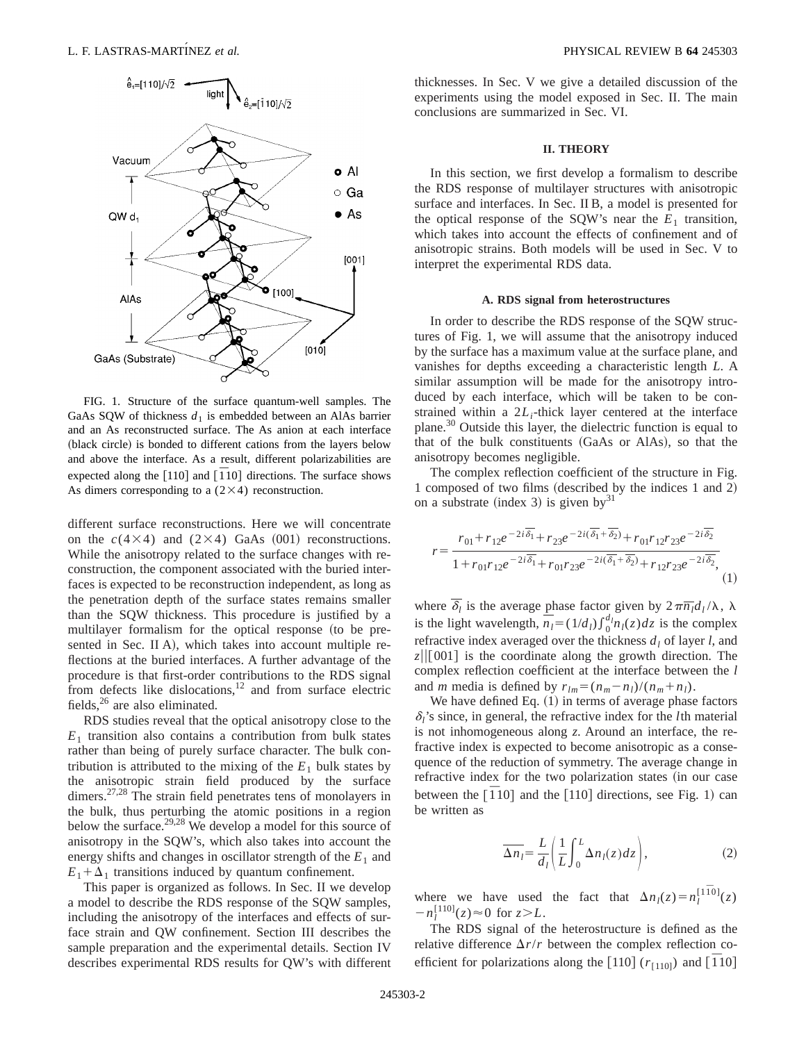

FIG. 1. Structure of the surface quantum-well samples. The GaAs SQW of thickness  $d_1$  is embedded between an AlAs barrier and an As reconstructed surface. The As anion at each interface (black circle) is bonded to different cations from the layers below and above the interface. As a result, different polarizabilities are expected along the  $[110]$  and  $[\overline{1}10]$  directions. The surface shows As dimers corresponding to a  $(2\times4)$  reconstruction.

different surface reconstructions. Here we will concentrate on the  $c(4\times4)$  and  $(2\times4)$  GaAs  $(001)$  reconstructions. While the anisotropy related to the surface changes with reconstruction, the component associated with the buried interfaces is expected to be reconstruction independent, as long as the penetration depth of the surface states remains smaller than the SQW thickness. This procedure is justified by a multilayer formalism for the optical response (to be presented in Sec. II A), which takes into account multiple reflections at the buried interfaces. A further advantage of the procedure is that first-order contributions to the RDS signal from defects like dislocations, $12$  and from surface electric fields, $^{26}$  are also eliminated.

RDS studies reveal that the optical anisotropy close to the  $E_1$  transition also contains a contribution from bulk states rather than being of purely surface character. The bulk contribution is attributed to the mixing of the  $E_1$  bulk states by the anisotropic strain field produced by the surface dimers.<sup>27,28</sup> The strain field penetrates tens of monolayers in the bulk, thus perturbing the atomic positions in a region below the surface.<sup>29,28</sup> We develop a model for this source of anisotropy in the SQW's, which also takes into account the energy shifts and changes in oscillator strength of the  $E_1$  and  $E_1 + \Delta_1$  transitions induced by quantum confinement.

This paper is organized as follows. In Sec. II we develop a model to describe the RDS response of the SQW samples, including the anisotropy of the interfaces and effects of surface strain and QW confinement. Section III describes the sample preparation and the experimental details. Section IV describes experimental RDS results for QW's with different thicknesses. In Sec. V we give a detailed discussion of the experiments using the model exposed in Sec. II. The main conclusions are summarized in Sec. VI.

## **II. THEORY**

In this section, we first develop a formalism to describe the RDS response of multilayer structures with anisotropic surface and interfaces. In Sec. II B, a model is presented for the optical response of the SQW's near the  $E_1$  transition, which takes into account the effects of confinement and of anisotropic strains. Both models will be used in Sec. V to interpret the experimental RDS data.

### **A. RDS signal from heterostructures**

In order to describe the RDS response of the SQW structures of Fig. 1, we will assume that the anisotropy induced by the surface has a maximum value at the surface plane, and vanishes for depths exceeding a characteristic length *L*. A similar assumption will be made for the anisotropy introduced by each interface, which will be taken to be constrained within a  $2L_i$ -thick layer centered at the interface plane.30 Outside this layer, the dielectric function is equal to that of the bulk constituents (GaAs or AlAs), so that the anisotropy becomes negligible.

The complex reflection coefficient of the structure in Fig. 1 composed of two films (described by the indices 1 and 2) on a substrate (index 3) is given by<sup>31</sup>

$$
r = \frac{r_{01} + r_{12}e^{-2i\overline{\delta_1}} + r_{23}e^{-2i(\overline{\delta_1} + \overline{\delta_2})} + r_{01}r_{12}r_{23}e^{-2i\overline{\delta_2}}}{1 + r_{01}r_{12}e^{-2i\overline{\delta_1}} + r_{01}r_{23}e^{-2i(\overline{\delta_1} + \overline{\delta_2})} + r_{12}r_{23}e^{-2i\overline{\delta_2}}},\tag{1}
$$

where  $\overline{\delta_l}$  is the average phase factor given by  $2\pi \overline{n_l}d_l/\lambda$ ,  $\lambda$ is the light wavelength,  $\overline{n_l} = (1/d_l) \int_0^{d_l} n_l(z) dz$  is the complex refractive index averaged over the thickness  $d_l$  of layer *l*, and  $z||[001]$  is the coordinate along the growth direction. The complex reflection coefficient at the interface between the *l* and *m* media is defined by  $r_{lm} = (n_m - n_l)/(n_m + n_l)$ .

We have defined Eq.  $(1)$  in terms of average phase factors  $\delta$ <sup>'</sup>s since, in general, the refractive index for the *l*th material is not inhomogeneous along *z*. Around an interface, the refractive index is expected to become anisotropic as a consequence of the reduction of symmetry. The average change in refractive index for the two polarization states (in our case between the  $\overline{[110]}$  and the  $\overline{[110]}$  directions, see Fig. 1) can be written as

$$
\overline{\Delta n_l} = \frac{L}{d_l} \left( \frac{1}{L} \int_0^L \Delta n_l(z) dz \right),\tag{2}
$$

where we have used the fact that  $\Delta n_l(z) = n_l^{[1\bar{1}0]}(z)$  $-n_l^{[110]}(z) \approx 0$  for  $z > L$ .

The RDS signal of the heterostructure is defined as the relative difference  $\Delta r/r$  between the complex reflection coefficient for polarizations along the  $[110]$  ( $r_{[110]}$ ) and  $[110]$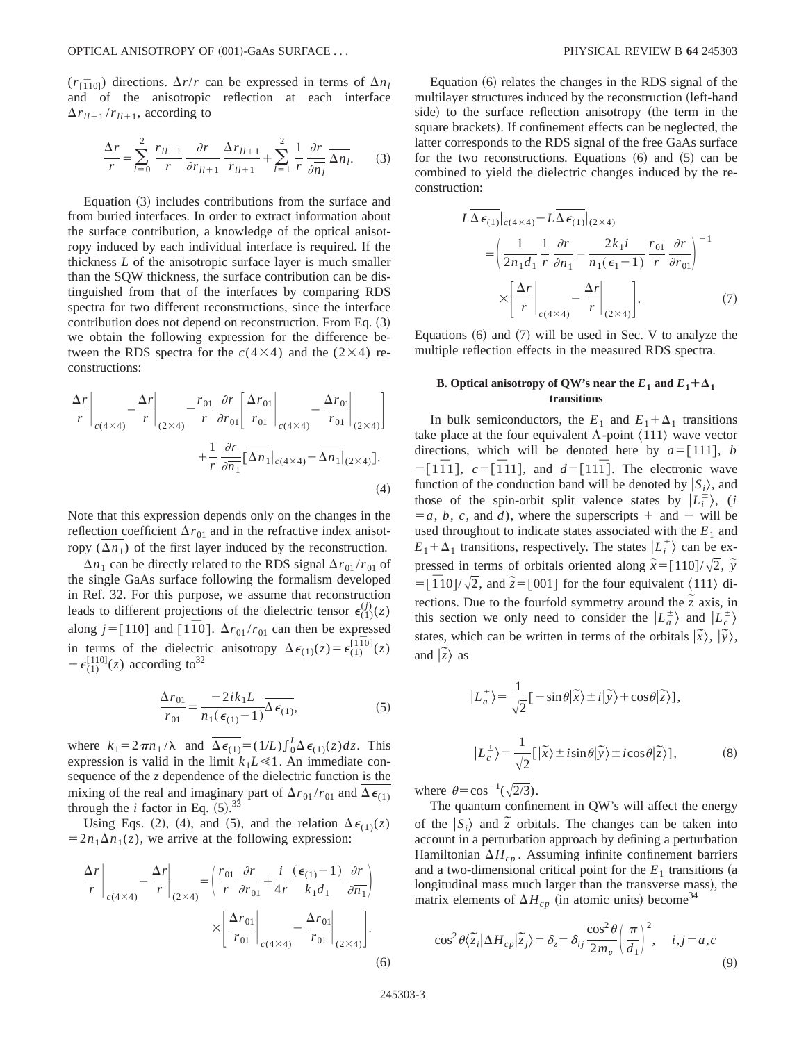$(r_{\overline{1}}_{10})$  directions.  $\Delta r/r$  can be expressed in terms of  $\Delta n_l$ and of the anisotropic reflection at each interface  $\Delta r_{ll+1} / r_{ll+1}$ , according to

$$
\frac{\Delta r}{r} = \sum_{l=0}^{2} \frac{r_{ll+1}}{r} \frac{\partial r}{\partial r_{ll+1}} \frac{\Delta r_{ll+1}}{r_{ll+1}} + \sum_{l=1}^{2} \frac{1}{r} \frac{\partial r}{\partial \overline{n}_{l}} \overline{\Delta n_{l}}.
$$
 (3)

Equation  $(3)$  includes contributions from the surface and from buried interfaces. In order to extract information about the surface contribution, a knowledge of the optical anisotropy induced by each individual interface is required. If the thickness *L* of the anisotropic surface layer is much smaller than the SQW thickness, the surface contribution can be distinguished from that of the interfaces by comparing RDS spectra for two different reconstructions, since the interface contribution does not depend on reconstruction. From Eq.  $(3)$ we obtain the following expression for the difference between the RDS spectra for the  $c(4\times4)$  and the (2×4) reconstructions:

$$
\frac{\Delta r}{r}\bigg|_{c(4\times4)} - \frac{\Delta r}{r}\bigg|_{(2\times4)} = \frac{r_{01}}{r} \frac{\partial r}{\partial r_{01}} \bigg[ \frac{\Delta r_{01}}{r_{01}} \bigg|_{c(4\times4)} - \frac{\Delta r_{01}}{r_{01}} \bigg|_{(2\times4)} \bigg] + \frac{1}{r} \frac{\partial r}{\partial \overline{n_1}} \big[ \overline{\Delta n_1} \big|_{c(4\times4)} - \overline{\Delta n_1} \big|_{(2\times4)} \big].
$$
\n(4)

Note that this expression depends only on the changes in the reflection coefficient  $\Delta r_{01}$  and in the refractive index anisotropy  $(\Delta n_1)$  of the first layer induced by the reconstruction.

 $\Delta n_1$  can be directly related to the RDS signal  $\Delta r_{01} / r_{01}$  of the single GaAs surface following the formalism developed in Ref. 32. For this purpose, we assume that reconstruction leads to different projections of the dielectric tensor  $\epsilon_{(1)}^{(j)}(z)$ along  $j = [110]$  and  $[1\overline{1}0]$ .  $\Delta r_{01}/r_{01}$  can then be expressed in terms of the dielectric anisotropy  $\Delta \epsilon_{(1)}(z) = \epsilon_{(1)}^{[1\overline{1}0]}(z)$  $-\epsilon_{(1)}^{[110]}(z)$  according to<sup>32</sup>

$$
\frac{\Delta r_{01}}{r_{01}} = \frac{-2ik_1L}{n_1(\epsilon_{(1)} - 1)}\overline{\Delta \epsilon_{(1)}},
$$
\n(5)

where  $k_1 = 2 \pi n_1 / \lambda$  and  $\overline{\Delta \epsilon_{(1)}} = (1/L) \int_0^L \Delta \epsilon_{(1)}(z) dz$ . This expression is valid in the limit  $k_1L \ll 1$ . An immediate consequence of the *z* dependence of the dielectric function is the mixing of the real and imaginary part of  $\Delta r_{01}/r_{01}$  and  $\Delta \epsilon_{(1)}$ through the *i* factor in Eq.  $(5)$ .<sup>33</sup>

Using Eqs. (2), (4), and (5), and the relation  $\Delta \epsilon_{(1)}(z)$  $=2n_1\Delta n_1(z)$ , we arrive at the following expression:

$$
\frac{\Delta r}{r}\bigg|_{c(4\times4)} - \frac{\Delta r}{r}\bigg|_{(2\times4)} = \left(\frac{r_{01}}{r}\frac{\partial r}{\partial r_{01}} + \frac{i}{4r}\frac{(\epsilon_{(1)} - 1)}{k_1 d_1} \frac{\partial r}{\partial \overline{n_1}}\right)
$$

$$
\times \left[\frac{\Delta r_{01}}{r_{01}}\bigg|_{c(4\times4)} - \frac{\Delta r_{01}}{r_{01}}\bigg|_{(2\times4)}\right].
$$
(6)

Equation  $(6)$  relates the changes in the RDS signal of the multilayer structures induced by the reconstruction (left-hand side) to the surface reflection anisotropy (the term in the square brackets). If confinement effects can be neglected, the latter corresponds to the RDS signal of the free GaAs surface for the two reconstructions. Equations  $(6)$  and  $(5)$  can be combined to yield the dielectric changes induced by the reconstruction:

$$
L\overline{\Delta \epsilon_{(1)}}|_{c(4\times4)} - L\overline{\Delta \epsilon_{(1)}}|_{(2\times4)}
$$
  
= 
$$
\left(\frac{1}{2n_1d_1} + \frac{1}{r}\frac{\partial r}{\partial n_1} - \frac{2k_1i}{n_1(\epsilon_1 - 1)} + \frac{r_{01}}{r}\frac{\partial r}{\partial r_{01}}\right)^{-1}
$$
  

$$
\times \left[\frac{\Delta r}{r}\bigg|_{c(4\times4)} - \frac{\Delta r}{r}\bigg|_{(2\times4)}\right].
$$
 (7)

Equations  $(6)$  and  $(7)$  will be used in Sec. V to analyze the multiple reflection effects in the measured RDS spectra.

## **B. Optical anisotropy of QW's near the**  $E_1$  **and**  $E_1 + \Delta_1$ **transitions**

In bulk semiconductors, the  $E_1$  and  $E_1 + \Delta_1$  transitions take place at the four equivalent  $\Lambda$ -point  $\langle 111 \rangle$  wave vector directions, which will be denoted here by  $a = [111]$ , *b*  $\overline{z} = [1\overline{1}1], \ c = [\overline{1}11], \text{ and } d = [11\overline{1}].$  The electronic wave function of the conduction band will be denoted by  $|S_i\rangle$ , and those of the spin-orbit split valence states by  $|L_i^{\pm}\rangle$ , (*i*  $=a, b, c,$  and *d*), where the superscripts  $+$  and  $-$  will be used throughout to indicate states associated with the  $E_1$  and  $E_1 + \Delta_1$  transitions, respectively. The states  $\left| L_i^{\pm} \right\rangle$  can be expressed in terms of orbitals oriented along  $\tilde{x} = [110]/\sqrt{2}$ ,  $\tilde{y}$  $\overline{z} = [\overline{1}10]/\sqrt{2}$ , and  $\overline{z} = [001]$  for the four equivalent  $\langle 111 \rangle$  directions. Due to the fourfold symmetry around the  $\frac{3}{2}$  axis, in this section we only need to consider the  $\left| L_a^{\pm} \right\rangle$  and  $\left| L_c^{\pm} \right\rangle$ states, which can be written in terms of the orbitals  $|\tilde{x}\rangle$ ,  $|\tilde{y}\rangle$ , and  $|\tilde{z}\rangle$  as

$$
|L_a^{\pm}\rangle = \frac{1}{\sqrt{2}}[-\sin\theta|\tilde{x}\rangle \pm i|\tilde{y}\rangle + \cos\theta|\tilde{z}\rangle],
$$
  

$$
|L_c^{\pm}\rangle = \frac{1}{\sqrt{2}}[|\tilde{x}\rangle \pm i\sin\theta|\tilde{y}\rangle \pm i\cos\theta|\tilde{z}\rangle],
$$
 (8)

where  $\theta = \cos^{-1}(\sqrt{2/3})$ .

The quantum confinement in QW's will affect the energy of the  $|S_i\rangle$  and  $\tilde{z}$  orbitals. The changes can be taken into account in a perturbation approach by defining a perturbation Hamiltonian  $\Delta H_{cp}$ . Assuming infinite confinement barriers and a two-dimensional critical point for the  $E_1$  transitions (a longitudinal mass much larger than the transverse mass), the matrix elements of  $\Delta H_{cp}$  (in atomic units) become<sup>34</sup>

$$
\cos^2 \theta \langle \tilde{z}_i | \Delta H_{cp} | \tilde{z}_j \rangle = \delta_z = \delta_{ij} \frac{\cos^2 \theta}{2m_v} \left( \frac{\pi}{d_1} \right)^2, \quad i, j = a, c
$$
\n(9)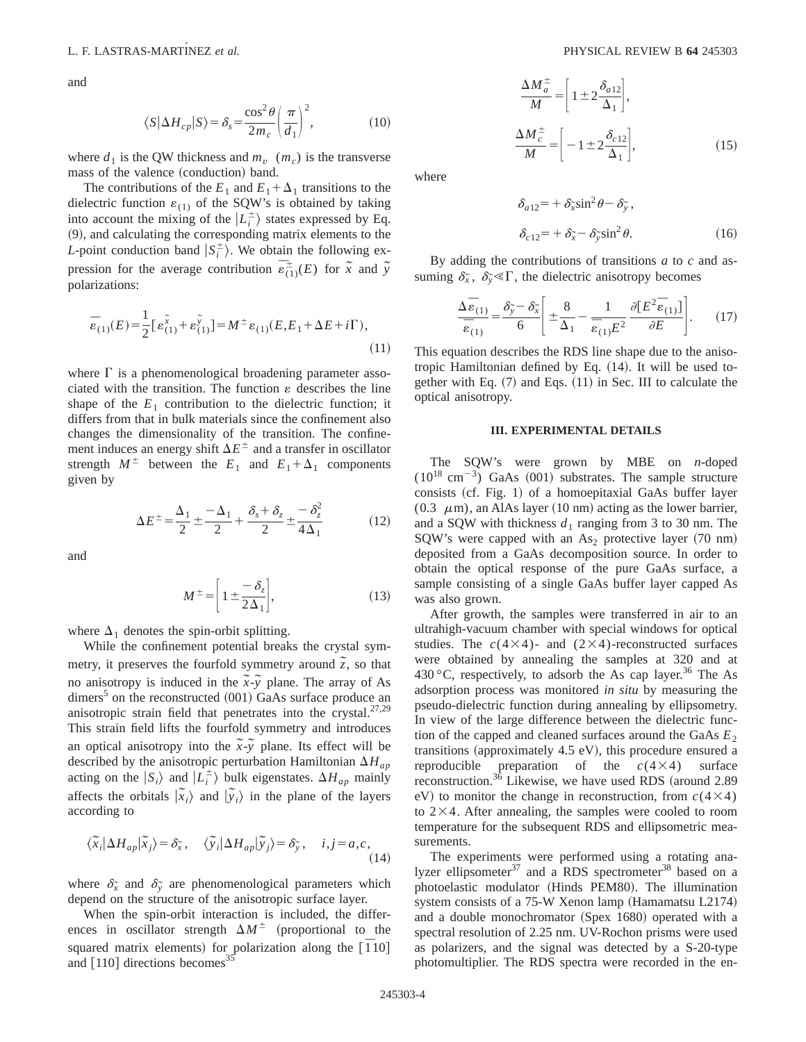and

$$
\langle S|\Delta H_{cp}|S\rangle = \delta_s = \frac{\cos^2\theta}{2m_c} \left(\frac{\pi}{d_1}\right)^2,\tag{10}
$$

where  $d_1$  is the QW thickness and  $m_v$  ( $m_c$ ) is the transverse mass of the valence (conduction) band.

The contributions of the  $E_1$  and  $E_1 + \Delta_1$  transitions to the dielectric function  $\varepsilon_{(1)}$  of the SQW's is obtained by taking into account the mixing of the  $|L_i^{\pm}\rangle$  states expressed by Eq.  $(9)$ , and calculating the corresponding matrix elements to the *L*-point conduction band  $|S_i^{\pm}\rangle$ . We obtain the following expression for the average contribution  $\overline{\epsilon}_{(1)}^{\pm}(E)$  for  $\tilde{x}$  and  $\tilde{y}$ polarizations:

$$
\bar{\varepsilon}_{(1)}(E) = \frac{1}{2} [\varepsilon_{(1)}^{\tilde{x}} + \varepsilon_{(1)}^{\tilde{y}}] = M^{\pm} \varepsilon_{(1)}(E, E_1 + \Delta E + i\Gamma),
$$
\n(11)

where  $\Gamma$  is a phenomenological broadening parameter associated with the transition. The function  $\varepsilon$  describes the line shape of the  $E_1$  contribution to the dielectric function; it differs from that in bulk materials since the confinement also changes the dimensionality of the transition. The confinement induces an energy shift  $\Delta E^{\pm}$  and a transfer in oscillator strength  $M^{\pm}$  between the  $E_1$  and  $E_1 + \Delta_1$  components given by

$$
\Delta E^{\pm} = \frac{\Delta_1}{2} \pm \frac{-\Delta_1}{2} + \frac{\delta_s + \delta_z}{2} \pm \frac{-\delta_z^2}{4\Delta_1}
$$
 (12)

and

$$
M^{\pm} = \left[1 \pm \frac{-\delta_z}{2\Delta_1}\right],\tag{13}
$$

where  $\Delta_1$  denotes the spin-orbit splitting.

While the confinement potential breaks the crystal symmetry, it preserves the fourfold symmetry around  $\tilde{z}$ , so that no anisotropy is induced in the  $\tilde{x}$ - $\tilde{y}$  plane. The array of As dimers<sup>5</sup> on the reconstructed  $(001)$  GaAs surface produce an anisotropic strain field that penetrates into the crystal. $27,29$ This strain field lifts the fourfold symmetry and introduces an optical anisotropy into the  $\tilde{x}$ - $\tilde{y}$  plane. Its effect will be described by the anisotropic perturbation Hamiltonian  $\Delta H_{ap}$ acting on the  $|S_i\rangle$  and  $|L_i^{\pm}\rangle$  bulk eigenstates.  $\Delta H_{ap}$  mainly affects the orbitals  $|\tilde{x}_i\rangle$  and  $|\tilde{y}_i\rangle$  in the plane of the layers according to

$$
\langle \widetilde{x}_i | \Delta H_{ap} | \widetilde{x}_j \rangle = \delta_{\widetilde{x}}, \quad \langle \widetilde{y}_i | \Delta H_{ap} | \widetilde{y}_j \rangle = \delta_{\widetilde{y}}, \quad i, j = a, c,
$$
\n(14)

where  $\delta_{\tilde{x}}$  and  $\delta_{\tilde{y}}$  are phenomenological parameters which depend on the structure of the anisotropic surface layer.

When the spin-orbit interaction is included, the differences in oscillator strength  $\Delta M^{\pm}$  (proportional to the squared matrix elements) for polarization along the  $[110]$ and  $[110]$  directions becomes<sup>35</sup>

$$
\frac{\Delta M_a^{\pm}}{M} = \left[ 1 \pm 2 \frac{\delta_{a12}}{\Delta_1} \right],
$$
  

$$
\frac{\Delta M_c^{\pm}}{M} = \left[ -1 \pm 2 \frac{\delta_{c12}}{\Delta_1} \right],
$$
 (15)

where

$$
\delta_{a12} = + \delta_{\tilde{x}} \sin^2 \theta - \delta_{\tilde{y}},
$$
  

$$
\delta_{c12} = + \delta_{\tilde{x}} - \delta_{\tilde{y}} \sin^2 \theta.
$$
 (16)

By adding the contributions of transitions *a* to *c* and assuming  $\delta_{\tilde{x}}$ ,  $\delta_{\tilde{y}} \leq \Gamma$ , the dielectric anisotropy becomes

$$
\frac{\Delta \bar{\varepsilon}_{(1)}}{\bar{\varepsilon}_{(1)}} = \frac{\delta_{\tilde{y}} - \delta_{\tilde{x}}}{6} \left[ \pm \frac{8}{\Delta_1} - \frac{1}{\bar{\varepsilon}_{(1)} E^2} \frac{\partial [E^2 \bar{\varepsilon}_{(1)}]}{\partial E} \right].
$$
 (17)

This equation describes the RDS line shape due to the anisotropic Hamiltonian defined by Eq.  $(14)$ . It will be used together with Eq.  $(7)$  and Eqs.  $(11)$  in Sec. III to calculate the optical anisotropy.

### **III. EXPERIMENTAL DETAILS**

The SQW's were grown by MBE on *n*-doped  $(10^{18} \text{ cm}^{-3})$  GaAs  $(001)$  substrates. The sample structure consists  $(cf. Fig. 1)$  of a homoepitaxial GaAs buffer layer (0.3  $\mu$ m), an AlAs layer (10 nm) acting as the lower barrier, and a SQW with thickness  $d_1$  ranging from 3 to 30 nm. The SQW's were capped with an  $As<sub>2</sub>$  protective layer (70 nm) deposited from a GaAs decomposition source. In order to obtain the optical response of the pure GaAs surface, a sample consisting of a single GaAs buffer layer capped As was also grown.

After growth, the samples were transferred in air to an ultrahigh-vacuum chamber with special windows for optical studies. The  $c(4\times4)$ - and  $(2\times4)$ -reconstructed surfaces were obtained by annealing the samples at 320 and at 430 °C, respectively, to adsorb the As cap layer.<sup>36</sup> The As adsorption process was monitored *in situ* by measuring the pseudo-dielectric function during annealing by ellipsometry. In view of the large difference between the dielectric function of the capped and cleaned surfaces around the GaAs  $E_2$ transitions (approximately  $4.5$  eV), this procedure ensured a reproducible preparation of the  $c(4\times4)$  surface reconstruction.<sup>36</sup> Likewise, we have used RDS (around  $2.89$ eV) to monitor the change in reconstruction, from  $c(4\times4)$ to  $2\times4$ . After annealing, the samples were cooled to room temperature for the subsequent RDS and ellipsometric measurements.

The experiments were performed using a rotating analyzer ellipsometer<sup>37</sup> and a RDS spectrometer<sup>38</sup> based on a photoelastic modulator (Hinds PEM80). The illumination system consists of a  $75-W$  Xenon lamp (Hamamatsu L2174) and a double monochromator  $(Spex 1680)$  operated with a spectral resolution of 2.25 nm. UV-Rochon prisms were used as polarizers, and the signal was detected by a S-20-type photomultiplier. The RDS spectra were recorded in the en-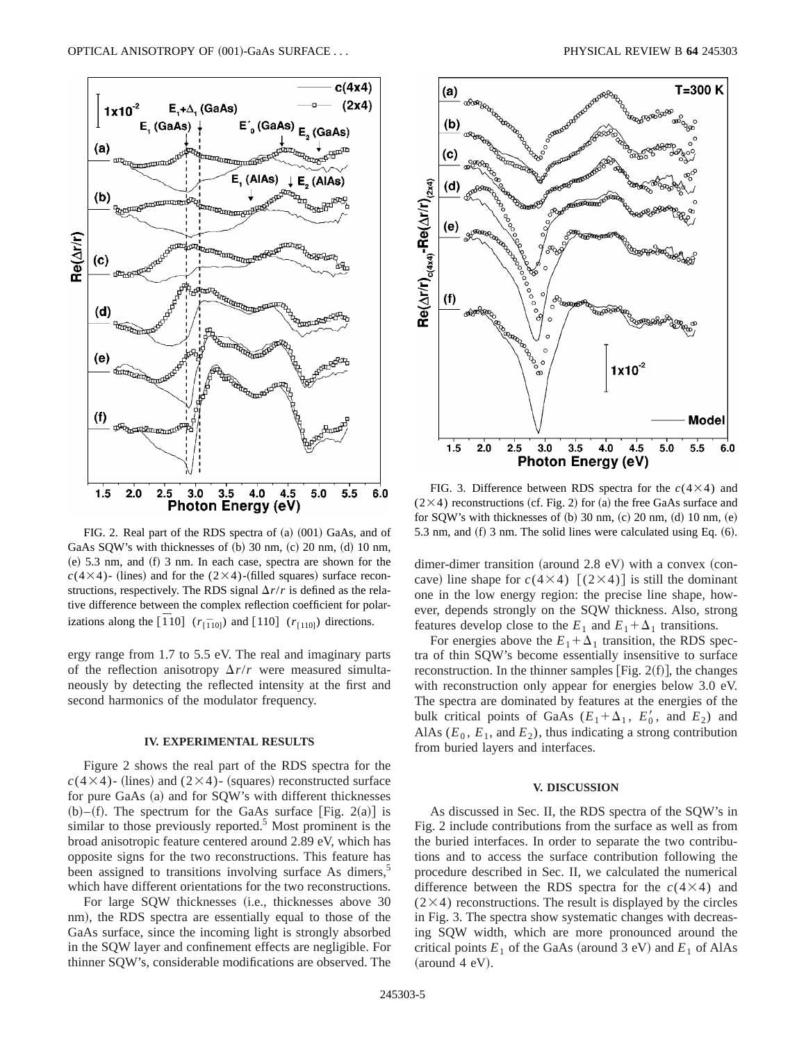

FIG. 2. Real part of the RDS spectra of  $(a)$   $(001)$  GaAs, and of GaAs SQW's with thicknesses of  $(b)$  30 nm,  $(c)$  20 nm,  $(d)$  10 nm,  $(e)$  5.3 nm, and  $(f)$  3 nm. In each case, spectra are shown for the  $c(4\times4)$ - (lines) and for the (2×4)-(filled squares) surface reconstructions, respectively. The RDS signal  $\Delta r/r$  is defined as the relative difference between the complex reflection coefficient for polarizations along the  $\left[\overline{1}10\right]$  ( $r_{\left[\overline{1}10\right]}$ ) and  $\left[110\right]$  ( $r_{\left[110\right]}$ ) directions.

ergy range from 1.7 to 5.5 eV. The real and imaginary parts of the reflection anisotropy  $\Delta r/r$  were measured simultaneously by detecting the reflected intensity at the first and second harmonics of the modulator frequency.

## **IV. EXPERIMENTAL RESULTS**

Figure 2 shows the real part of the RDS spectra for the  $c(4\times4)$ - (lines) and (2×4)- (squares) reconstructed surface for pure GaAs (a) and for SQW's with different thicknesses (b)–(f). The spectrum for the GaAs surface [Fig. 2(a)] is similar to those previously reported.<sup>5</sup> Most prominent is the broad anisotropic feature centered around 2.89 eV, which has opposite signs for the two reconstructions. This feature has been assigned to transitions involving surface As dimers,<sup>5</sup> which have different orientations for the two reconstructions.

For large SQW thicknesses (i.e., thicknesses above 30 nm), the RDS spectra are essentially equal to those of the GaAs surface, since the incoming light is strongly absorbed in the SQW layer and confinement effects are negligible. For thinner SQW's, considerable modifications are observed. The



FIG. 3. Difference between RDS spectra for the  $c(4\times4)$  and  $(2\times4)$  reconstructions (cf. Fig. 2) for (a) the free GaAs surface and for SOW's with thicknesses of  $(b)$  30 nm,  $(c)$  20 nm,  $(d)$  10 nm,  $(e)$ 5.3 nm, and  $(f)$  3 nm. The solid lines were calculated using Eq.  $(6)$ .

dimer-dimer transition (around  $2.8$  eV) with a convex (concave) line shape for  $c(4\times4)$   $[(2\times4)]$  is still the dominant one in the low energy region: the precise line shape, however, depends strongly on the SQW thickness. Also, strong features develop close to the  $E_1$  and  $E_1 + \Delta_1$  transitions.

For energies above the  $E_1 + \Delta_1$  transition, the RDS spectra of thin SQW's become essentially insensitive to surface reconstruction. In the thinner samples [Fig.  $2(f)$ ], the changes with reconstruction only appear for energies below 3.0 eV. The spectra are dominated by features at the energies of the bulk critical points of GaAs  $(E_1 + \Delta_1, E'_0, \text{ and } E_2)$  and AlAs  $(E_0, E_1, \text{ and } E_2)$ , thus indicating a strong contribution from buried layers and interfaces.

## **V. DISCUSSION**

As discussed in Sec. II, the RDS spectra of the SQW's in Fig. 2 include contributions from the surface as well as from the buried interfaces. In order to separate the two contributions and to access the surface contribution following the procedure described in Sec. II, we calculated the numerical difference between the RDS spectra for the  $c(4\times4)$  and  $(2\times4)$  reconstructions. The result is displayed by the circles in Fig. 3. The spectra show systematic changes with decreasing SQW width, which are more pronounced around the critical points  $E_1$  of the GaAs (around 3 eV) and  $E_1$  of AlAs  $(around 4 eV).$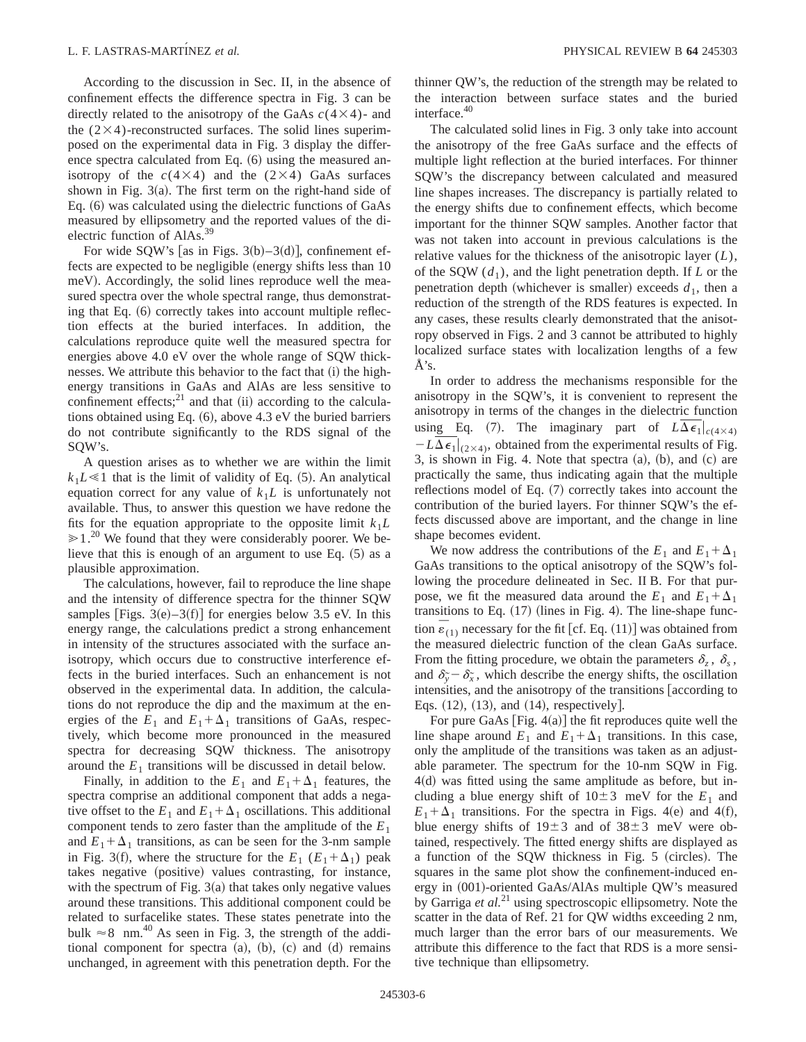According to the discussion in Sec. II, in the absence of confinement effects the difference spectra in Fig. 3 can be directly related to the anisotropy of the GaAs  $c(4\times4)$ - and the  $(2\times4)$ -reconstructed surfaces. The solid lines superimposed on the experimental data in Fig. 3 display the difference spectra calculated from Eq.  $(6)$  using the measured anisotropy of the  $c(4\times4)$  and the (2×4) GaAs surfaces shown in Fig.  $3(a)$ . The first term on the right-hand side of Eq.  $(6)$  was calculated using the dielectric functions of GaAs measured by ellipsometry and the reported values of the dielectric function of AlAs.<sup>39</sup>

For wide SQW's [as in Figs.  $3(b) - 3(d)$ ], confinement effects are expected to be negligible (energy shifts less than 10) meV). Accordingly, the solid lines reproduce well the measured spectra over the whole spectral range, thus demonstrating that Eq.  $(6)$  correctly takes into account multiple reflection effects at the buried interfaces. In addition, the calculations reproduce quite well the measured spectra for energies above 4.0 eV over the whole range of SQW thicknesses. We attribute this behavior to the fact that (i) the highenergy transitions in GaAs and AlAs are less sensitive to confinement effects; $^{21}$  and that (ii) according to the calculations obtained using Eq.  $(6)$ , above 4.3 eV the buried barriers do not contribute significantly to the RDS signal of the SQW's.

A question arises as to whether we are within the limit  $k_1L \ll 1$  that is the limit of validity of Eq. (5). An analytical equation correct for any value of  $k_1L$  is unfortunately not available. Thus, to answer this question we have redone the fits for the equation appropriate to the opposite limit  $k_1L$  $\ge 1$ .<sup>20</sup> We found that they were considerably poorer. We believe that this is enough of an argument to use Eq.  $(5)$  as a plausible approximation.

The calculations, however, fail to reproduce the line shape and the intensity of difference spectra for the thinner SQW samples [Figs.  $3(e) - 3(f)$ ] for energies below 3.5 eV. In this energy range, the calculations predict a strong enhancement in intensity of the structures associated with the surface anisotropy, which occurs due to constructive interference effects in the buried interfaces. Such an enhancement is not observed in the experimental data. In addition, the calculations do not reproduce the dip and the maximum at the energies of the  $E_1$  and  $E_1 + \Delta_1$  transitions of GaAs, respectively, which become more pronounced in the measured spectra for decreasing SQW thickness. The anisotropy around the  $E_1$  transitions will be discussed in detail below.

Finally, in addition to the  $E_1$  and  $E_1 + \Delta_1$  features, the spectra comprise an additional component that adds a negative offset to the  $E_1$  and  $E_1 + \Delta_1$  oscillations. This additional component tends to zero faster than the amplitude of the  $E_1$ and  $E_1 + \Delta_1$  transitions, as can be seen for the 3-nm sample in Fig. 3(f), where the structure for the  $E_1$  ( $E_1 + \Delta_1$ ) peak takes negative (positive) values contrasting, for instance, with the spectrum of Fig.  $3(a)$  that takes only negative values around these transitions. This additional component could be related to surfacelike states. These states penetrate into the bulk  $\approx 8$  nm.<sup>40</sup> As seen in Fig. 3, the strength of the additional component for spectra  $(a)$ ,  $(b)$ ,  $(c)$  and  $(d)$  remains unchanged, in agreement with this penetration depth. For the thinner QW's, the reduction of the strength may be related to the interaction between surface states and the buried interface.<sup>40</sup>

The calculated solid lines in Fig. 3 only take into account the anisotropy of the free GaAs surface and the effects of multiple light reflection at the buried interfaces. For thinner SQW's the discrepancy between calculated and measured line shapes increases. The discrepancy is partially related to the energy shifts due to confinement effects, which become important for the thinner SQW samples. Another factor that was not taken into account in previous calculations is the relative values for the thickness of the anisotropic layer (*L*), of the SQW  $(d_1)$ , and the light penetration depth. If *L* or the penetration depth (whichever is smaller) exceeds  $d_1$ , then a reduction of the strength of the RDS features is expected. In any cases, these results clearly demonstrated that the anisotropy observed in Figs. 2 and 3 cannot be attributed to highly localized surface states with localization lengths of a few Å's.

In order to address the mechanisms responsible for the anisotropy in the SQW's, it is convenient to represent the anisotropy in terms of the changes in the dielectric function using Eq. (7). The imaginary part of  $L\Delta\epsilon_1|_{c(4\times4)}$  $-L\Delta \epsilon_1|_{(2\times4)}$ , obtained from the experimental results of Fig. 3, is shown in Fig. 4. Note that spectra  $(a)$ ,  $(b)$ , and  $(c)$  are practically the same, thus indicating again that the multiple reflections model of Eq.  $(7)$  correctly takes into account the contribution of the buried layers. For thinner SQW's the effects discussed above are important, and the change in line shape becomes evident.

We now address the contributions of the  $E_1$  and  $E_1 + \Delta_1$ GaAs transitions to the optical anisotropy of the SQW's following the procedure delineated in Sec. II B. For that purpose, we fit the measured data around the  $E_1$  and  $E_1 + \Delta_1$ transitions to Eq.  $(17)$  (lines in Fig. 4). The line-shape function  $\vec{e}_{(1)}$  necessary for the fit [cf. Eq. (11)] was obtained from the measured dielectric function of the clean GaAs surface. From the fitting procedure, we obtain the parameters  $\delta_z$ ,  $\delta_s$ , and  $\delta_{\tilde{y}} - \delta_{\tilde{x}}$ , which describe the energy shifts, the oscillation intensities, and the anisotropy of the transitions according to Eqs.  $(12)$ ,  $(13)$ , and  $(14)$ , respectively.

For pure GaAs  $[Fig. 4(a)]$  the fit reproduces quite well the line shape around  $E_1$  and  $E_1 + \Delta_1$  transitions. In this case, only the amplitude of the transitions was taken as an adjustable parameter. The spectrum for the 10-nm SQW in Fig.  $4(d)$  was fitted using the same amplitude as before, but including a blue energy shift of  $10±3$  meV for the  $E_1$  and  $E_1 + \Delta_1$  transitions. For the spectra in Figs. 4(e) and 4(f), blue energy shifts of  $19\pm3$  and of  $38\pm3$  meV were obtained, respectively. The fitted energy shifts are displayed as a function of the SQW thickness in Fig.  $5$  (circles). The squares in the same plot show the confinement-induced energy in (001)-oriented GaAs/AlAs multiple QW's measured by Garriga et al.<sup>21</sup> using spectroscopic ellipsometry. Note the scatter in the data of Ref. 21 for QW widths exceeding 2 nm, much larger than the error bars of our measurements. We attribute this difference to the fact that RDS is a more sensitive technique than ellipsometry.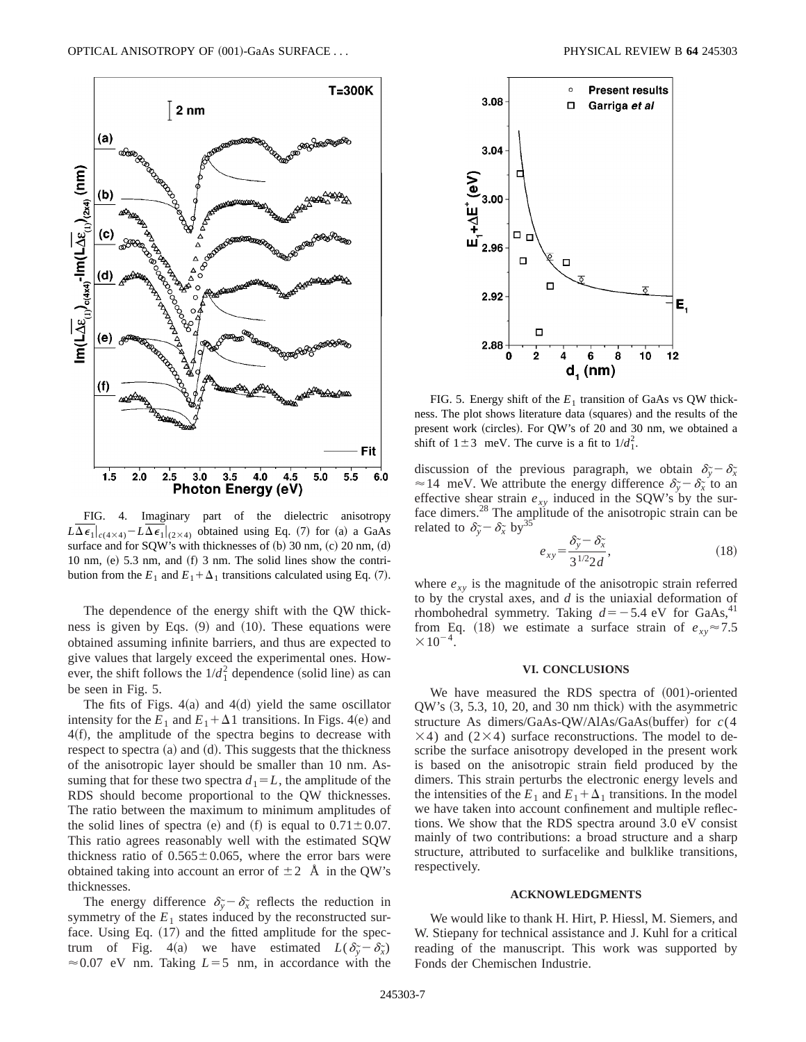

FIG. 4. Imaginary part of the dielectric anisotropy  $L\Delta\epsilon_1|_{c(4\times4)}-L\Delta\epsilon_1|_{(2\times4)}$  obtained using Eq. (7) for (a) a GaAs surface and for SQW's with thicknesses of  $(b)$  30 nm,  $(c)$  20 nm,  $(d)$ 10 nm,  $(e)$  5.3 nm, and  $(f)$  3 nm. The solid lines show the contribution from the  $E_1$  and  $E_1 + \Delta_1$  transitions calculated using Eq. (7).

The dependence of the energy shift with the QW thickness is given by Eqs.  $(9)$  and  $(10)$ . These equations were obtained assuming infinite barriers, and thus are expected to give values that largely exceed the experimental ones. However, the shift follows the  $1/d_1^2$  dependence (solid line) as can be seen in Fig. 5.

The fits of Figs.  $4(a)$  and  $4(d)$  yield the same oscillator intensity for the  $E_1$  and  $E_1 + \Delta 1$  transitions. In Figs. 4(e) and  $4(f)$ , the amplitude of the spectra begins to decrease with respect to spectra  $(a)$  and  $(d)$ . This suggests that the thickness of the anisotropic layer should be smaller than 10 nm. Assuming that for these two spectra  $d_1 = L$ , the amplitude of the RDS should become proportional to the QW thicknesses. The ratio between the maximum to minimum amplitudes of the solid lines of spectra (e) and (f) is equal to  $0.71 \pm 0.07$ . This ratio agrees reasonably well with the estimated SQW thickness ratio of  $0.565 \pm 0.065$ , where the error bars were obtained taking into account an error of  $\pm 2$  Å in the QW's thicknesses.

The energy difference  $\delta_{\tilde{y}} - \delta_{\tilde{x}}$  reflects the reduction in symmetry of the  $E_1$  states induced by the reconstructed surface. Using Eq.  $(17)$  and the fitted amplitude for the spectrum of Fig. 4(a) we have estimated  $L(\delta_{\tilde{y}} - \delta_{\tilde{x}})$  $\approx 0.07$  eV nm. Taking  $L=5$  nm, in accordance with the



FIG. 5. Energy shift of the  $E_1$  transition of GaAs vs QW thickness. The plot shows literature data (squares) and the results of the present work (circles). For QW's of 20 and 30 nm, we obtained a shift of  $1 \pm 3$  meV. The curve is a fit to  $1/d_1^2$ .

discussion of the previous paragraph, we obtain  $\delta_{\tilde{y}} - \delta_{\tilde{x}}$  $\approx$  14 meV. We attribute the energy difference  $\delta_{\tilde{y}} - \delta_{\tilde{x}}$  to an effective shear strain  $e_{xy}$  induced in the SQW's by the surface dimers.<sup>28</sup> The amplitude of the anisotropic strain can be related to  $\delta_{\tilde{y}} - \delta_{\tilde{x}}$  by<sup>35</sup>

$$
e_{xy} = \frac{\delta_{\widetilde{y}} - \delta_{\widetilde{x}}}{3^{1/2} 2d},\tag{18}
$$

where  $e_{xy}$  is the magnitude of the anisotropic strain referred to by the crystal axes, and *d* is the uniaxial deformation of rhombohedral symmetry. Taking  $d=-5.4$  eV for GaAs,<sup>41</sup> from Eq. (18) we estimate a surface strain of  $e_{xy} \approx 7.5$  $\times 10^{-4}$ .

#### **VI. CONCLUSIONS**

We have measured the RDS spectra of  $(001)$ -oriented  $QW$ 's  $(3, 5.3, 10, 20,$  and 30 nm thick) with the asymmetric structure As dimers/GaAs-QW/AlAs/GaAs(buffer) for  $c(4)$  $\times$ 4) and (2 $\times$ 4) surface reconstructions. The model to describe the surface anisotropy developed in the present work is based on the anisotropic strain field produced by the dimers. This strain perturbs the electronic energy levels and the intensities of the  $E_1$  and  $E_1 + \Delta_1$  transitions. In the model we have taken into account confinement and multiple reflections. We show that the RDS spectra around 3.0 eV consist mainly of two contributions: a broad structure and a sharp structure, attributed to surfacelike and bulklike transitions, respectively.

#### **ACKNOWLEDGMENTS**

We would like to thank H. Hirt, P. Hiessl, M. Siemers, and W. Stiepany for technical assistance and J. Kuhl for a critical reading of the manuscript. This work was supported by Fonds der Chemischen Industrie.